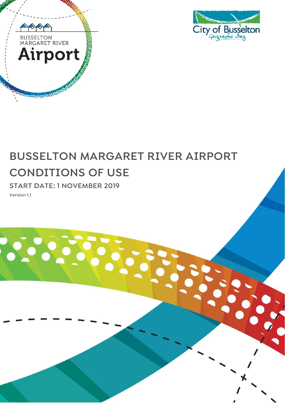



# **BUSSELTON MARGARET RIVER AIRPORT CONDITIONS OF USE**

**START DATE: 1 NOVEMBER 2019 Version 1.1**

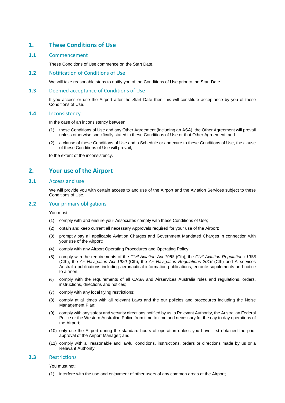## **1. These Conditions of Use**

#### **1.1** Commencement

These Conditions of Use commence on the Start Date.

#### **1.2** Notification of Conditions of Use

We will take reasonable steps to notify you of the Conditions of Use prior to the Start Date.

#### **1.3** Deemed acceptance of Conditions of Use

If you access or use the Airport after the Start Date then this will constitute acceptance by you of these Conditions of Use.

#### **1.4** Inconsistency

In the case of an inconsistency between:

- (1) these Conditions of Use and any Other Agreement (including an ASA), the Other Agreement will prevail unless otherwise specifically stated in these Conditions of Use or that Other Agreement; and
- (2) a clause of these Conditions of Use and a Schedule or annexure to these Conditions of Use, the clause of these Conditions of Use will prevail,

to the extent of the inconsistency.

## **2. Your use of the Airport**

#### **2.1** Access and use

We will provide you with certain access to and use of the Airport and the Aviation Services subject to these Conditions of Use.

#### **2.2** Your primary obligations

You must:

- (1) comply with and ensure your Associates comply with these Conditions of Use;
- (2) obtain and keep current all necessary Approvals required for your use of the Airport;
- (3) promptly pay all applicable Aviation Charges and Government Mandated Charges in connection with your use of the Airport;
- (4) comply with any Airport Operating Procedures and Operating Policy;
- (5) comply with the requirements of the *Civil Aviation Act 1988* (Cth), the *Civil Aviation Regulations 1988* (Cth), the *Air Navigation Act 1920* (Cth), the *Air Navigation Regulations 2016* (Cth) and Airservices Australia publications including aeronautical information publications, enroute supplements and notice to airmen;
- (6) comply with the requirements of all CASA and Airservices Australia rules and regulations, orders, instructions, directions and notices;
- (7) comply with any local flying restrictions;
- (8) comply at all times with all relevant Laws and the our policies and procedures including the Noise Management Plan;
- (9) comply with any safety and security directions notified by us, a Relevant Authority, the Australian Federal Police or the Western Australian Police from time to time and necessary for the day to day operations of the Airport;
- (10) only use the Airport during the standard hours of operation unless you have first obtained the prior approval of the Airport Manager; and
- (11) comply with all reasonable and lawful conditions, instructions, orders or directions made by us or a Relevant Authority.

#### **2.3** Restrictions

You must not:

(1) interfere with the use and enjoyment of other users of any common areas at the Airport;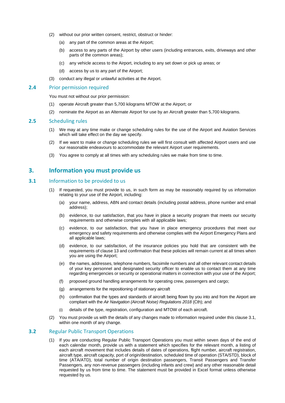- (2) without our prior written consent, restrict, obstruct or hinder:
	- (a) any part of the common areas at the Airport;
	- (b) access to any parts of the Airport by other users (including entrances, exits, driveways and other parts of the common areas);
	- (c) any vehicle access to the Airport, including to any set down or pick up areas; or
	- (d) access by us to any part of the Airport;
- (3) conduct any illegal or unlawful activities at the Airport.

#### **2.4** Prior permission required

You must not without our prior permission:

- (1) operate Aircraft greater than 5,700 kilograms MTOW at the Airport; or
- (2) nominate the Airport as an Alternate Airport for use by an Aircraft greater than 5,700 kilograms.

#### **2.5** Scheduling rules

- (1) We may at any time make or change scheduling rules for the use of the Airport and Aviation Services which will take effect on the day we specify.
- (2) If we want to make or change scheduling rules we will first consult with affected Airport users and use our reasonable endeavours to accommodate the relevant Airport user requirements.
- (3) You agree to comply at all times with any scheduling rules we make from time to time.

## **3. Information you must provide us**

### <span id="page-2-0"></span>**3.1** Information to be provided to us

- (1) If requested, you must provide to us, in such form as may be reasonably required by us information relating to your use of the Airport, including:
	- (a) your name, address, ABN and contact details (including postal address, phone number and email address);
	- (b) evidence, to our satisfaction, that you have in place a security program that meets our security requirements and otherwise complies with all applicable laws;
	- (c) evidence, to our satisfaction, that you have in place emergency procedures that meet our emergency and safety requirements and otherwise complies with the Airport Emergency Plans and all applicable laws;
	- (d) evidence, to our satisfaction, of the insurance policies you hold that are consistent with the requirements of clause [13](#page-8-0) and confirmation that these policies will remain current at all times when you are using the Airport;
	- (e) the names, addresses, telephone numbers, facsimile numbers and all other relevant contact details of your key personnel and designated security officer to enable us to contact them at any time regarding emergencies or security or operational matters in connection with your use of the Airport;
	- (f) proposed ground handling arrangements for operating crew, passengers and cargo;
	- (g) arrangements for the repositioning of stationary aircraft
	- (h) confirmation that the types and standards of aircraft being flown by you into and from the Airport are compliant with the *Air Navigation (Aircraft Noise) Regulations 2018* (Cth); and
	- (i) details of the type, registration, configuration and MTOW of each aircraft.
- (2) You must provide us with the details of any changes made to information required under this claus[e 3.1,](#page-2-0) within one month of any change.

#### <span id="page-2-1"></span>**3.2** Regular Public Transport Operations

(1) If you are conducting Regular Public Transport Operations you must within seven days of the end of each calendar month, provide us with a statement which specifies for the relevant month, a listing of each aircraft movement that includes details of dates of operations, flight number, aircraft registration, aircraft type, aircraft capacity, port of origin/destination, scheduled time of operation (STA/STD), block of time (ATA/ATD), total number of origin destination passengers, Transit Passengers and Transfer Passengers, any non-revenue passengers (including infants and crew) and any other reasonable detail requested by us from time to time. The statement must be provided in Excel format unless otherwise requested by us.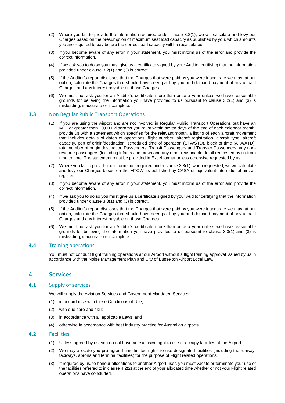- (2) Where you fail to provide the information required under clause [3.2\(](#page-2-1)1), we will calculate and levy our Charges based on the presumption of maximum seat load capacity as published by you, which amounts you are required to pay before the correct load capacity will be recalculated.
- (3) If you become aware of any error in your statement, you must inform us of the error and provide the correct information.
- (4) If we ask you to do so you must give us a certificate signed by your Auditor certifying that the information provided under clause [3.2\(](#page-2-1)1) and (3) is correct.
- (5) If the Auditor's report discloses that the Charges that were paid by you were inaccurate we may, at our option, calculate the Charges that should have been paid by you and demand payment of any unpaid Charges and any interest payable on those Charges.
- (6) We must not ask you for an Auditor's certificate more than once a year unless we have reasonable grounds for believing the information you have provided to us pursuant to clause [3.2\(](#page-2-1)1) and (3) is misleading, inaccurate or incomplete.

#### <span id="page-3-0"></span>**3.3** Non Regular Public Transport Operations

- (1) If you are using the Airport and are not involved in Regular Public Transport Operations but have an MTOW greater than 20,000 kilograms you must within seven days of the end of each calendar month, provide us with a statement which specifies for the relevant month, a listing of each aircraft movement that includes details of dates of operations, flight number, aircraft registration, aircraft type, aircraft capacity, port of origin/destination, scheduled time of operation (STA/STD), block of time (ATA/ATD), total number of origin destination Passengers, Transit Passengers and Transfer Passengers, any nonrevenue passengers (including infants and crew) and any other reasonable detail requested by us from time to time. The statement must be provided in Excel format unless otherwise requested by us.
- (2) Where you fail to provide the information required under clause [3.3\(](#page-3-0)1), when requested, we will calculate and levy our Charges based on the MTOW as published by CASA or equivalent international aircraft register.
- (3) If you become aware of any error in your statement, you must inform us of the error and provide the correct information.
- (4) If we ask you to do so you must give us a certificate signed by your Auditor certifying that the information provided under clause [3.3\(](#page-3-0)1) and (3) is correct.
- (5) If the Auditor's report discloses that the Charges that were paid by you were inaccurate we may, at our option, calculate the Charges that should have been paid by you and demand payment of any unpaid Charges and any interest payable on those Charges.
- (6) We must not ask you for an Auditor's certificate more than once a year unless we have reasonable grounds for believing the information you have provided to us pursuant to clause [3.3\(](#page-3-0)1) and (3) is misleading, inaccurate or incomplete.

#### **3.4** Training operations

You must not conduct flight training operations at our Airport without a flight training approval issued by us in accordance with the Noise Management Plan and City of Busselton Airport Local Law.

## **4. Services**

#### **4.1** Supply of services

We will supply the Aviation Services and Government Mandated Services:

- (1) in accordance with these Conditions of Use;
- (2) with due care and skill;
- (3) in accordance with all applicable Laws; and
- (4) otherwise in accordance with best industry practice for Australian airports.

## <span id="page-3-1"></span>**4.2** Facilities

- (1) Unless agreed by us, you do not have an exclusive right to use or occupy facilities at the Airport.
- (2) We may allocate you pre agreed time limited rights to use designated facilities (including the runway, taxiways, aprons and terminal facilities) for the purpose of Flight related operations.
- (3) If required by us, to honour allocations to another Airport user, you must vacate or terminate your use of the facilities referred to in claus[e 4.2\(2\)](#page-3-1) at the end of your allocated time whether or not your Flight related operations have concluded.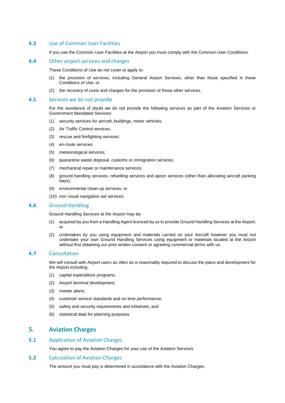#### **4.3** Use of Common User Facilities

If you use the Common User Facilities at the Airport you must comply with the Common User Conditions.

## **4.4** Other airport services and charges

These Conditions of Use do not cover or apply to:

- (1) the provision of services, including General Airport Services, other than those specified in these Conditions of Use; or
- (2) the recovery of costs and charges for the provision of those other services.

#### **4.5** Services we do not provide

For the avoidance of doubt we do not provide the following services as part of the Aviation Services or Government Mandated Services:

- (1) security services for aircraft, buildings, motor vehicles;
- (2) Air Traffic Control services;
- (3) rescue and firefighting services;
- (4) en-route services;
- (5) meteorological services;
- (6) quarantine waste disposal, customs or immigration services;
- (7) mechanical repair or maintenance services;
- (8) ground handling services, refuelling services and apron services (other than allocating aircraft parking bays);
- (9) environmental clean-up services; or
- (10) non visual navigation aid services.

#### **4.6** Ground Handling

Ground Handling Services at the Airport may be:

- (1) acquired by you from a Handling Agent licenced by us to provide Ground Handling Services at the Airport; or
- (2) undertaken by you using equipment and materials carried on your Aircraft however you must not undertake your own Ground Handling Services using equipment or materials located at the Airport without first obtaining our prior written consent or agreeing commercial terms with us.

#### **4.7** Consultation

We will consult with Airport users as often as is reasonably required to discuss the plans and development for the Airport including:

- (1) capital expenditure programs;
- (2) Airport terminal development;
- (3) master plans;
- (4) customer service standards and on time performance;
- (5) safety and security requirements and initiatives; and
- (6) statistical data for planning purposes.

## **5. Aviation Charges**

#### **5.1** Application of Aviation Charges

You agree to pay the Aviation Charges for your use of the Aviation Services.

#### **5.2** Calculation of Aviation Charges

The amount you must pay is determined in accordance with the Aviation Charges.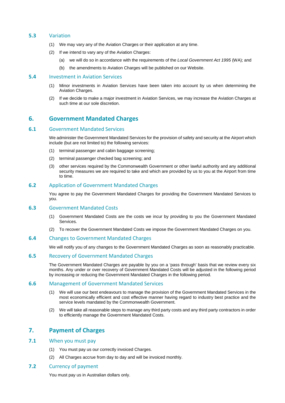#### **5.3** Variation

- (1) We may vary any of the Aviation Charges or their application at any time.
- (2) If we intend to vary any of the Aviation Charges:
	- (a) we will do so in accordance with the requirements of the *Local Government Act 1995* (WA); and
	- (b) the amendments to Aviation Charges will be published on our Website.

#### **5.4** Investment in Aviation Services

- (1) Minor investments in Aviation Services have been taken into account by us when determining the Aviation Charges.
- (2) If we decide to make a major investment in Aviation Services, we may increase the Aviation Charges at such time at our sole discretion.

## **6. Government Mandated Charges**

#### <span id="page-5-0"></span>**6.1** Government Mandated Services

We administer the Government Mandated Services for the provision of safety and security at the Airport which include (but are not limited to) the following services:

- (1) terminal passenger and cabin baggage screening;
- (2) terminal passenger checked bag screening; and
- (3) other services required by the Commonwealth Government or other lawful authority and any additional security measures we are required to take and which are provided by us to you at the Airport from time to time.

#### **6.2** Application of Government Mandated Charges

You agree to pay the Government Mandated Charges for providing the Government Mandated Services to you.

#### **6.3** Government Mandated Costs

- (1) Government Mandated Costs are the costs we incur by providing to you the Government Mandated Services.
- (2) To recover the Government Mandated Costs we impose the Government Mandated Charges on you.

#### **6.4** Changes to Government Mandated Charges

We will notify you of any changes to the Government Mandated Charges as soon as reasonably practicable.

#### **6.5** Recovery of Government Mandated Charges

The Government Mandated Charges are payable by you on a 'pass through' basis that we review every six months. Any under or over recovery of Government Mandated Costs will be adjusted in the following period by increasing or reducing the Government Mandated Charges in the following period.

#### **6.6** Management of Government Mandated Services

- (1) We will use our best endeavours to manage the provision of the Government Mandated Services in the most economically efficient and cost effective manner having regard to industry best practice and the service levels mandated by the Commonwealth Government.
- (2) We will take all reasonable steps to manage any third party costs and any third party contractors in order to efficiently manage the Government Mandated Costs.

## **7. Payment of Charges**

#### **7.1** When you must pay

- (1) You must pay us our correctly invoiced Charges.
- (2) All Charges accrue from day to day and will be invoiced monthly.

#### **7.2** Currency of payment

You must pay us in Australian dollars only.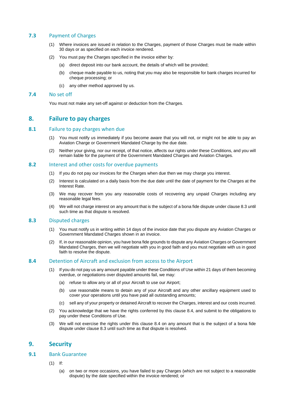## **7.3** Payment of Charges

- (1) Where invoices are issued in relation to the Charges, payment of those Charges must be made within 30 days or as specified on each invoice rendered.
- (2) You must pay the Charges specified in the invoice either by:
	- (a) direct deposit into our bank account, the details of which will be provided;
	- (b) cheque made payable to us, noting that you may also be responsible for bank charges incurred for cheque processing; or
	- (c) any other method approved by us.

#### **7.4** No set off

You must not make any set-off against or deduction from the Charges.

## **8. Failure to pay charges**

#### **8.1** Failure to pay charges when due

- (1) You must notify us immediately if you become aware that you will not, or might not be able to pay an Aviation Charge or Government Mandated Charge by the due date.
- (2) Neither your giving, nor our receipt, of that notice, affects our rights under these Conditions, and you will remain liable for the payment of the Government Mandated Charges and Aviation Charges.

#### **8.2** Interest and other costs for overdue payments

- (1) If you do not pay our invoices for the Charges when due then we may charge you interest.
- (2) Interest is calculated on a daily basis from the due date until the date of payment for the Charges at the Interest Rate.
- (3) We may recover from you any reasonable costs of recovering any unpaid Charges including any reasonable legal fees.
- (4) We will not charge interest on any amount that is the subject of a bona fide dispute under claus[e 8.3](#page-6-0) until such time as that dispute is resolved.

#### <span id="page-6-0"></span>**8.3** Disputed charges

- (1) You must notify us in writing within 14 days of the invoice date that you dispute any Aviation Charges or Government Mandated Charges shown in an invoice.
- (2) If, in our reasonable opinion, you have bona fide grounds to dispute any Aviation Charges or Government Mandated Charges, then we will negotiate with you in good faith and you must negotiate with us in good faith to resolve the dispute.

#### <span id="page-6-1"></span>**8.4** Detention of Aircraft and exclusion from access to the Airport

- If you do not pay us any amount payable under these Conditions of Use within 21 days of them becoming overdue, or negotiations over disputed amounts fail, we may:
	- (a) refuse to allow any or all of your Aircraft to use our Airport;
	- (b) use reasonable means to detain any of your Aircraft and any other ancillary equipment used to cover your operations until you have paid all outstanding amounts;
	- (c) sell any of your property or detained Aircraft to recover the Charges, interest and our costs incurred.
- (2) You acknowledge that we have the rights conferred by this clause [8.4,](#page-6-1) and submit to the obligations to pay under these Conditions of Use.
- (3) We will not exercise the rights under this clause [8.4](#page-6-1) on any amount that is the subject of a bona fide dispute under clause [8.3](#page-6-0) until such time as that dispute is resolved.

## **9. Security**

## <span id="page-6-2"></span>**9.1** Bank Guarantee

- (1) If:
	- (a) on two or more occasions, you have failed to pay Charges (which are not subject to a reasonable dispute) by the date specified within the invoice rendered; or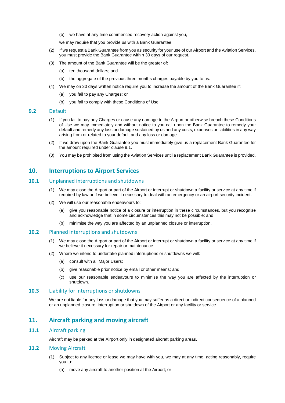(b) we have at any time commenced recovery action against you,

we may require that you provide us with a Bank Guarantee.

- (2) If we request a Bank Guarantee from you as security for your use of our Airport and the Aviation Services, you must provide the Bank Guarantee within 30 days of our request.
- (3) The amount of the Bank Guarantee will be the greater of:
	- (a) ten thousand dollars; and
	- (b) the aggregate of the previous three months charges payable by you to us.
- (4) We may on 30 days written notice require you to increase the amount of the Bank Guarantee if:
	- (a) you fail to pay any Charges; or
	- (b) you fail to comply with these Conditions of Use.

#### **9.2** Default

- (1) If you fail to pay any Charges or cause any damage to the Airport or otherwise breach these Conditions of Use we may immediately and without notice to you call upon the Bank Guarantee to remedy your default and remedy any loss or damage sustained by us and any costs, expenses or liabilities in any way arising from or related to your default and any loss or damage.
- (2) If we draw upon the Bank Guarantee you must immediately give us a replacement Bank Guarantee for the amount required under clause [9.1.](#page-6-2)
- (3) You may be prohibited from using the Aviation Services until a replacement Bank Guarantee is provided.

## **10. Interruptions to Airport Services**

#### **10.1** Unplanned interruptions and shutdowns

- (1) We may close the Airport or part of the Airport or interrupt or shutdown a facility or service at any time if required by law or if we believe it necessary to deal with an emergency or an airport security incident.
- (2) We will use our reasonable endeavours to:
	- (a) give you reasonable notice of a closure or interruption in these circumstances, but you recognise and acknowledge that in some circumstances this may not be possible; and
	- (b) minimise the way you are affected by an unplanned closure or interruption.

#### **10.2** Planned interruptions and shutdowns

- (1) We may close the Airport or part of the Airport or interrupt or shutdown a facility or service at any time if we believe it necessary for repair or maintenance.
- (2) Where we intend to undertake planned interruptions or shutdowns we will:
	- (a) consult with all Major Users;
	- (b) give reasonable prior notice by email or other means; and
	- (c) use our reasonable endeavours to minimise the way you are affected by the interruption or shutdown.

#### **10.3** Liability for interruptions or shutdowns

We are not liable for any loss or damage that you may suffer as a direct or indirect consequence of a planned or an unplanned closure, interruption or shutdown of the Airport or any facility or service.

## **11. Aircraft parking and moving aircraft**

#### **11.1** Aircraft parking

Aircraft may be parked at the Airport only in designated aircraft parking areas.

## <span id="page-7-0"></span>**11.2** Moving Aircraft

- (1) Subject to any licence or lease we may have with you, we may at any time, acting reasonably, require you to:
	- (a) move any aircraft to another position at the Airport; or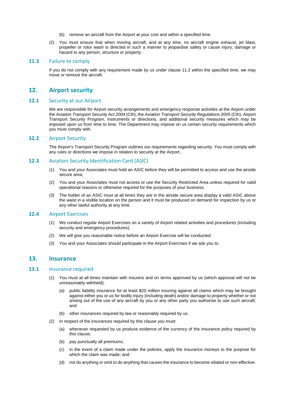- (b) remove an aircraft from the Airport at your cost and within a specified time.
- (2) You must ensure that when moving aircraft, and at any time, no aircraft engine exhaust, jet blast, propeller or rotor wash is directed in such a manner to jeopardise safety or cause injury, damage or hazard to any person, structure or property.

#### **11.3** Failure to comply

If you do not comply with any requirement made by us under clause [11.2](#page-7-0) within the specified time, we may move or remove the aircraft.

## **12. Airport security**

#### **12.1** Security at our Airport

We are responsible for Airport security arrangements and emergency response activities at the Airport under the *Aviation Transport Security Act 2004* (Cth), the *Aviation Transport Security Regulations 2005* (Cth), Airport Transport Security Program, instruments or directions, and additional security measures which may be imposed upon us from time to time. The Department may impose on us certain security requirements which you must comply with.

#### **12.2** Airport Security

The Airport's Transport Security Program outlines our requirements regarding security. You must comply with any rules or directions we impose in relation to security at the Airport..

#### **12.3** Aviation Security Identification Card (ASIC)

- (1) You and your Associates must hold an ASIC before they will be permitted to access and use the airside secure area;
- (2) You and your Associates must not access or use the Security Restricted Area unless required for valid operational reasons or otherwise required for the purposes of your business.
- (3) The holder of an ASIC must at all times they are in the airside secure area display a valid ASIC above the waist in a visible location on the person and it must be produced on demand for inspection by us or any other lawful authority at any time.

## **12.4** Airport Exercises

- (1) We conduct regular Airport Exercises on a variety of Airport related activities and procedures (including security and emergency procedures).
- (2) We will give you reasonable notice before an Airport Exercise will be conducted.
- (3) You and your Associates should participate in the Airport Exercises if we ask you to.

## <span id="page-8-0"></span>**13. Insurance**

#### <span id="page-8-1"></span>**13.1** Insurance required

- (1) You must at all times maintain with insurers and on terms approved by us (which approval will not be unreasonably withheld):
	- (a) public liability insurance for at least \$20 million insuring against all claims which may be brought against either you or us for bodily injury (including death) and/or damage to property whether or not arising out of the use of any aircraft by you or any other party you authorise to use such aircraft; and
	- (b) other insurances required by law or reasonably required by us.
- (2) In respect of the insurances required by this clause you must:
	- (a) whenever requested by us produce evidence of the currency of the insurance policy required by this clause;
	- (b) pay punctually all premiums;
	- (c) in the event of a claim made under the policies, apply the insurance moneys to the purpose for which the claim was made; and
	- (d) not do anything or omit to do anything that causes the insurance to become vitiated or non-effective.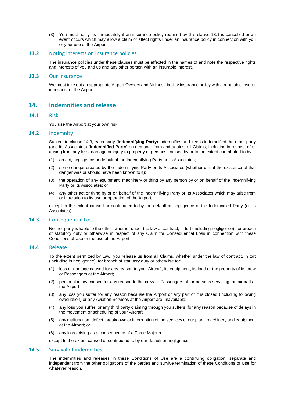(3) You must notify us immediately if an insurance policy required by this clause [13.1](#page-8-1) is cancelled or an event occurs which may allow a claim or affect rights under an insurance policy in connection with you or your use of the Airport.

#### **13.2** Noting interests on insurance policies

The insurance policies under these clauses must be effected in the names of and note the respective rights and interests of you and us and any other person with an insurable interest.

#### **13.3** Our insurance

We must take out an appropriate Airport Owners and Airlines Liability insurance policy with a reputable insurer in respect of the Airport.

## **14. Indemnities and release**

#### **14.1** Risk

You use the Airport at your own risk.

#### **14.2** Indemnity

Subject to clause [14.3,](#page-9-0) each party (**Indemnifying Party**) indemnifies and keeps indemnified the other party (and its Associates) (**Indemnified Party**) on demand, from and against all Claims, including in respect of or arising from any loss, damage or injury to property or persons, caused by or to the extent contributed to by:

- (1) an act, negligence or default of the Indemnifying Party or its Associates;
- (2) some danger created by the Indemnifying Party or its Associates (whether or not the existence of that danger was or should have been known to it);
- (3) the operation of any equipment, machinery or thing by any person by or on behalf of the Indemnifying Party or its Associates; or
- (4) any other act or thing by or on behalf of the Indemnifying Party or its Associates which may arise from or in relation to its use or operation of the Airport,

except to the extent caused or contributed to by the default or negligence of the Indemnified Party (or its Associates).

#### <span id="page-9-0"></span>**14.3** Consequential Loss

Neither party is liable to the other, whether under the law of contract, in tort (including negligence), for breach of statutory duty or otherwise in respect of any Claim for Consequential Loss in connection with these Conditions of Use or the use of the Airport.

#### **14.4** Release

To the extent permitted by Law, you release us from all Claims, whether under the law of contract, in tort (including in negligence), for breach of statutory duty or otherwise for:

- (1) loss or damage caused for any reason to your Aircraft, its equipment, its load or the property of its crew or Passengers at the Airport;
- (2) personal injury caused for any reason to the crew or Passengers of, or persons servicing, an aircraft at the Airport;
- (3) any loss you suffer for any reason because the Airport or any part of it is closed (including following evacuation) or any Aviation Services at the Airport are unavailable;
- (4) any loss you suffer, or any third party claiming through you suffers, for any reason because of delays in the movement or scheduling of your Aircraft;
- (5) any malfunction, defect, breakdown or interruption of the services or our plant, machinery and equipment at the Airport; or
- (6) any loss arising as a consequence of a Force Majeure,

except to the extent caused or contributed to by our default or negligence.

#### **14.5** Survival of indemnities

The indemnities and releases in these Conditions of Use are a continuing obligation, separate and independent from the other obligations of the parties and survive termination of these Conditions of Use for whatever reason.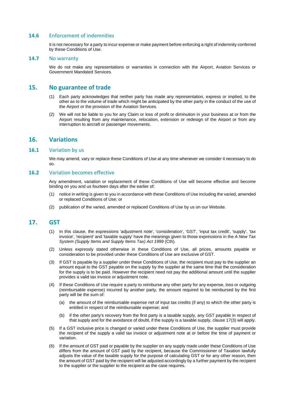## **14.6** Enforcement of indemnities

It is not necessary for a party to incur expense or make payment before enforcing a right of indemnity conferred by these Conditions of Use.

#### **14.7** No warranty

We do not make any representations or warranties in connection with the Airport, Aviation Services or Government Mandated Services.

## **15. No guarantee of trade**

- (1) Each party acknowledges that neither party has made any representation, express or implied, to the other as to the volume of trade which might be anticipated by the other party in the conduct of the use of the Airport or the provision of the Aviation Services.
- (2) We will not be liable to you for any Claim or loss of profit or diminution in your business at or from the Airport resulting from any maintenance, relocation, extension or redesign of the Airport or from any interruption to aircraft or passenger movements.

## **16. Variations**

## **16.1** Variation by us

We may amend, vary or replace these Conditions of Use at any time whenever we consider it necessary to do so.

#### **16.2** Variation becomes effective

Any amendment, variation or replacement of these Conditions of Use will become effective and become binding on you and us fourteen days after the earlier of:

- (1) notice in writing is given to you in accordance with these Conditions of Use including the varied, amended or replaced Conditions of Use; or
- (2) publication of the varied, amended or replaced Conditions of Use by us on our Website.

## <span id="page-10-0"></span>**17. GST**

- (1) In this clause, the expressions 'adjustment note', 'consideration', 'GST', 'input tax credit', 'supply', 'tax invoice', 'recipient' and 'taxable supply' have the meanings given to those expressions in the *A New Tax System (Supply Items and Supply Items Tax) Act 1999* (Cth).
- (2) Unless expressly stated otherwise in these Conditions of Use, all prices, amounts payable or consideration to be provided under these Conditions of Use are exclusive of GST.
- (3) If GST is payable by a supplier under these Conditions of Use, the recipient must pay to the supplier an amount equal to the GST payable on the supply by the supplier at the same time that the consideration for the supply is to be paid. However the recipient need not pay the additional amount until the supplier provides a valid tax invoice or adjustment note.
- (4) If these Conditions of Use require a party to reimburse any other party for any expense, loss or outgoing (reimbursable expense) incurred by another party, the amount required to be reimbursed by the first party will be the sum of:
	- (a) the amount of the reimbursable expense net of input tax credits (if any) to which the other party is entitled in respect of the reimbursable expense; and
	- (b) if the other party's recovery from the first party is a taxable supply, any GST payable in respect of that supply and for the avoidance of doubt, if the supply is a taxable supply, claus[e 17\(](#page-10-0)3) will apply.
- (5) If a GST inclusive price is changed or varied under these Conditions of Use, the supplier must provide the recipient of the supply a valid tax invoice or adjustment note at or before the time of payment or variation.
- (6) If the amount of GST paid or payable by the supplier on any supply made under these Conditions of Use differs from the amount of GST paid by the recipient, because the Commissioner of Taxation lawfully adjusts the value of the taxable supply for the purpose of calculating GST or for any other reason, then the amount of GST paid by the recipient will be adjusted accordingly by a further payment by the recipient to the supplier or the supplier to the recipient as the case requires.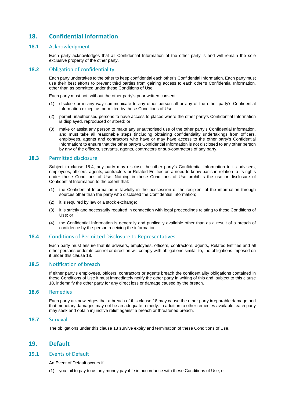## <span id="page-11-1"></span>**18. Confidential Information**

#### **18.1** Acknowledgment

Each party acknowledges that all Confidential Information of the other party is and will remain the sole exclusive property of the other party.

#### 18.2 Obligation of confidentiality

Each party undertakes to the other to keep confidential each other's Confidential Information. Each party must use their best efforts to prevent third parties from gaining access to each other's Confidential Information, other than as permitted under these Conditions of Use.

Each party must not, without the other party's prior written consent:

- (1) disclose or in any way communicate to any other person all or any of the other party's Confidential Information except as permitted by these Conditions of Use;
- (2) permit unauthorised persons to have access to places where the other party's Confidential Information is displayed, reproduced or stored; or
- (3) make or assist any person to make any unauthorised use of the other party's Confidential Information, and must take all reasonable steps (including obtaining confidentiality undertakings from officers, employees, agents and contractors who have or may have access to the other party's Confidential Information) to ensure that the other party's Confidential Information is not disclosed to any other person by any of the officers, servants, agents, contractors or sub-contractors of any party.

#### **18.3** Permitted disclosure

Subject to clause [18.4,](#page-11-0) any party may disclose the other party's Confidential Information to its advisers, employees, officers, agents, contractors or Related Entities on a need to know basis in relation to its rights under these Conditions of Use. Nothing in these Conditions of Use prohibits the use or disclosure of Confidential Information to the extent that:

- (1) the Confidential Information is lawfully in the possession of the recipient of the information through sources other than the party who disclosed the Confidential Information;
- (2) it is required by law or a stock exchange;
- (3) it is strictly and necessarily required in connection with legal proceedings relating to these Conditions of Use; or
- (4) the Confidential Information is generally and publically available other than as a result of a breach of confidence by the person receiving the information.

#### <span id="page-11-0"></span>**18.4** Conditions of Permitted Disclosure to Representatives

Each party must ensure that its advisers, employees, officers, contractors, agents, Related Entities and all other persons under its control or direction will comply with obligations similar to, the obligations imposed on it under this clause [18.](#page-11-1)

#### **18.5** Notification of breach

If either party's employees, officers, contractors or agents breach the confidentiality obligations contained in these Conditions of Use it must immediately notify the other party in writing of this and, subject to this clause [18,](#page-11-1) indemnify the other party for any direct loss or damage caused by the breach.

#### **18.6** Remedies

Each party acknowledges that a breach of this clause [18](#page-11-1) may cause the other party irreparable damage and that monetary damages may not be an adequate remedy. In addition to other remedies available, each party may seek and obtain injunctive relief against a breach or threatened breach.

#### **18.7** Survival

The obligations under this claus[e 18](#page-11-1) survive expiry and termination of these Conditions of Use.

## <span id="page-11-2"></span>**19. Default**

#### <span id="page-11-3"></span>**19.1** Events of Default

An Event of Default occurs if:

(1) you fail to pay to us any money payable in accordance with these Conditions of Use; or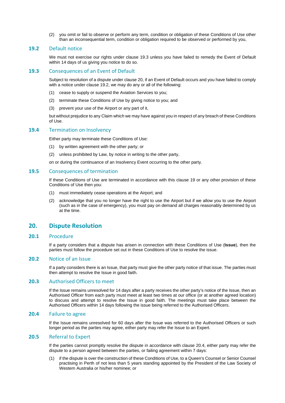(2) you omit or fail to observe or perform any term, condition or obligation of these Conditions of Use other than an inconsequential term, condition or obligation required to be observed or performed by you,

#### <span id="page-12-1"></span>**19.2** Default notice

We must not exercise our rights under clause 19.3 unless you have failed to remedy the Event of Default within 14 days of us giving you notice to do so.

#### **19.3** Consequences of an Event of Default

Subject to resolution of a dispute under clause [20,](#page-12-0) if an Event of Default occurs and you have failed to comply with a notice under clause [19.2,](#page-12-1) we may do any or all of the following:

- (1) cease to supply or suspend the Aviation Services to you;
- (2) terminate these Conditions of Use by giving notice to you; and
- (3) prevent your use of the Airport or any part of it,

but without prejudice to any Claim which we may have against you in respect of any breach of these Conditions of Use.

#### **19.4** Termination on Insolvency

Either party may terminate these Conditions of Use:

- (1) by written agreement with the other party; or
- (2) unless prohibited by Law, by notice in writing to the other party,

on or during the continuance of an Insolvency Event occurring to the other party.

#### **19.5** Consequences of termination

If these Conditions of Use are terminated in accordance with this clause [19](#page-11-2) or any other provision of these Conditions of Use then you:

- (1) must immediately cease operations at the Airport; and
- (2) acknowledge that you no longer have the right to use the Airport but if we allow you to use the Airport (such as in the case of emergency), you must pay on demand all charges reasonably determined by us at the time.

## <span id="page-12-0"></span>**20. Dispute Resolution**

#### <span id="page-12-3"></span>**20.1** Procedure

If a party considers that a dispute has arisen in connection with these Conditions of Use (**Issue**), then the parties must follow the procedure set out in these Conditions of Use to resolve the issue.

#### **20.2** Notice of an Issue

If a party considers there is an Issue, that party must give the other party notice of that issue. The parties must then attempt to resolve the Issue in good faith.

#### **20.3** Authorised Officers to meet

If the Issue remains unresolved for 14 days after a party receives the other party's notice of the Issue, then an Authorised Officer from each party must meet at least two times at our office (or at another agreed location) to discuss and attempt to resolve the Issue in good faith. The meetings must take place between the Authorised Officers within 14 days following the issue being referred to the Authorised Officers.

#### <span id="page-12-2"></span>**20.4** Failure to agree

If the Issue remains unresolved for 60 days after the Issue was referred to the Authorised Officers or such longer period as the parties may agree, either party may refer the Issue to an Expert.

#### **20.5** Referral to Expert

If the parties cannot promptly resolve the dispute in accordance with clause [20.4,](#page-12-2) either party may refer the dispute to a person agreed between the parties, or failing agreement within 7 days:

(1) if the dispute is over the construction of these Conditions of Use, to a Queen's Counsel or Senior Counsel practising in Perth of not less than 5 years standing appointed by the President of the Law Society of Western Australia or his/her nominee; or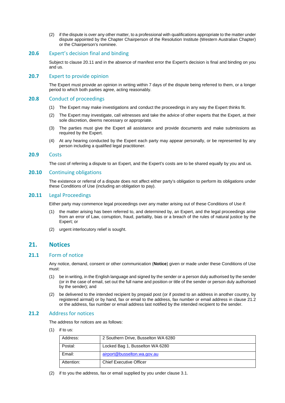(2) if the dispute is over any other matter, to a professional with qualifications appropriate to the matter under dispute appointed by the Chapter Chairperson of the Resolution Institute (Western Australian Chapter) or the Chairperson's nominee.

#### **20.6** Expert's decision final and binding

Subject to claus[e 20.11](#page-13-0) and in the absence of manifest error the Expert's decision is final and binding on you and us.

## **20.7** Expert to provide opinion

The Expert must provide an opinion in writing within 7 days of the dispute being referred to them, or a longer period to which both parties agree, acting reasonably.

#### **20.8** Conduct of proceedings

- (1) The Expert may make investigations and conduct the proceedings in any way the Expert thinks fit.
- (2) The Expert may investigate, call witnesses and take the advice of other experts that the Expert, at their sole discretion, deems necessary or appropriate.
- (3) The parties must give the Expert all assistance and provide documents and make submissions as required by the Expert.
- (4) At any hearing conducted by the Expert each party may appear personally, or be represented by any person including a qualified legal practitioner.

#### **20.9** Costs

The cost of referring a dispute to an Expert, and the Expert's costs are to be shared equally by you and us.

#### **20.10** Continuing obligations

The existence or referral of a dispute does not affect either party's obligation to perform its obligations under these Conditions of Use (including an obligation to pay).

#### <span id="page-13-0"></span>**20.11** Legal Proceedings

Either party may commence legal proceedings over any matter arising out of these Conditions of Use if:

- (1) the matter arising has been referred to, and determined by, an Expert, and the legal proceedings arise from an error of Law, corruption, fraud, partiality, bias or a breach of the rules of natural justice by the Expert; or
- (2) urgent interlocutory relief is sought.

## **21. Notices**

#### **21.1** Form of notice

Any notice, demand, consent or other communication (**Notice**) given or made under these Conditions of Use must:

- (1) be in writing, in the English language and signed by the sender or a person duly authorised by the sender (or in the case of email, set out the full name and position or title of the sender or person duly authorised by the sender); and
- (2) be delivered to the intended recipient by prepaid post (or if posted to an address in another country, by registered airmail) or by hand, fax or email to the address, fax number or email address in clause [21.2](#page-13-1) or the address, fax number or email address last notified by the intended recipient to the sender.

#### <span id="page-13-1"></span>**21.2** Address for notices

The address for notices are as follows:

(1) if to us:

| Address:   | 2 Southern Drive, Busselton WA 6280 |
|------------|-------------------------------------|
| Postal:    | Locked Bag 1, Busselton WA 6280     |
| Email:     | airport@busselton.wa.gov.au         |
| Attention: | <b>Chief Executive Officer</b>      |

(2) if to you the address, fax or email supplied by you under clause [3.1.](#page-2-0)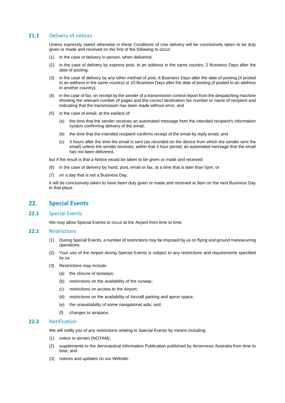## **21.3** Delivery of notices

Unless expressly stated otherwise in these Conditions of Use delivery will be conclusively taken to be duly given or made and received on the first of the following to occur:

- (1) in the case of delivery in person, when delivered;
- (2) in the case of delivery by express post, to an address in the same country, 2 Business Days after the date of posting;
- (3) in the case of delivery by any other method of post, 6 Business Days after the date of posting (if posted to an address in the same country) or 10 Business Days after the date of posting (if posted to an address in another country);
- (4) in the case of fax, on receipt by the sender of a transmission control report from the despatching machine showing the relevant number of pages and the correct destination fax number or name of recipient and indicating that the transmission has been made without error; and
- (5) in the case of email, at the earliest of:
	- (a) the time that the sender receives an automated message from the intended recipient's information system confirming delivery of the email;
	- (b) the time that the intended recipient confirms receipt of the email by reply email; and
	- (c) 3 hours after the time the email is sent (as recorded on the device from which the sender sent the email) unless the sender receives, within that 3 hour period, an automated message that the email has not been delivered,

but if the result is that a Notice would be taken to be given or made and received:

- (6) in the case of delivery by hand, post, email or fax, at a time that is later than 5pm; or
- (7) on a day that is not a Business Day,

it will be conclusively taken to have been duly given or made and received at 9am on the next Business Day in that place.

## **22. Special Events**

#### **22.1** Special Events

We may allow Special Events to occur at the Airport from time to time.

#### **22.2** Restrictions

- (1) During Special Events, a number of restrictions may be imposed by us on flying and ground manoeuvring operations.
- (2) Your use of the Airport during Special Events is subject to any restrictions and requirements specified by us.
- (3) Restrictions may include:
	- (a) the closure of taxiways;
	- (b) restrictions on the availability of the runway;
	- (c) restrictions on access to the Airport;
	- (d) restrictions on the availability of Aircraft parking and apron space;
	- (e) the unavailability of some navigational aids; and
	- (f) changes to airspace.

#### **22.3** Notification

We will notify you of any restrictions relating to Special Events by means including:

- (1) notice to airmen (NOTAM);
- (2) supplements to the Aeronautical Information Publication published by Airservices Australia from time to time; and
- (3) notices and updates on our Website.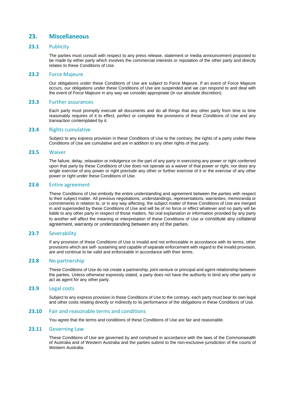## **23. Miscellaneous**

#### **23.1** Publicity

The parties must consult with respect to any press release, statement or media announcement proposed to be made by either party which involves the commercial interests or reputation of the other party and directly relates to these Conditions of Use.

#### **23.2** Force Majeure

Our obligations under these Conditions of Use are subject to Force Majeure. If an event of Force Majeure occurs, our obligations under these Conditions of Use are suspended and we can respond to and deal with the event of Force Majeure in any way we consider appropriate (in our absolute discretion).

#### **23.3** Further assurances

Each party must promptly execute all documents and do all things that any other party from time to time reasonably requires of it to effect, perfect or complete the provisions of these Conditions of Use and any transaction contemplated by it.

#### **23.4** Rights cumulative

Subject to any express provision in these Conditions of Use to the contrary, the rights of a party under these Conditions of Use are cumulative and are in addition to any other rights of that party.

#### **23.5** Waiver

The failure, delay, relaxation or indulgence on the part of any party in exercising any power or right conferred upon that party by these Conditions of Use does not operate as a waiver of that power or right, nor does any single exercise of any power or right preclude any other or further exercise of it or the exercise of any other power or right under these Conditions of Use.

## **23.6** Entire agreement

These Conditions of Use embody the entire understanding and agreement between the parties with respect to their subject matter. All previous negotiations, understandings, representations, warranties, memoranda or commitments in relation to, or in any way affecting, the subject matter of these Conditions of Use are merged in and superseded by these Conditions of Use and will be of no force or effect whatever and no party will be liable to any other party in respect of those matters. No oral explanation or information provided by any party to another will affect the meaning or interpretation of these Conditions of Use or constitute any collateral agreement, warranty or understanding between any of the parties.

## **23.7** Severability

If any provision of these Conditions of Use is invalid and not enforceable in accordance with its terms, other provisions which are self- sustaining and capable of separate enforcement with regard to the invalid provision, are and continue to be valid and enforceable in accordance with their terms.

#### **23.8** No partnership

These Conditions of Use do not create a partnership, joint venture or principal and agent relationship between the parties. Unless otherwise expressly stated, a party does not have the authority to bind any other party or act as agent for any other party.

#### **23.9** Legal costs

Subject to any express provision in these Conditions of Use to the contrary, each party must bear its own legal and other costs relating directly or indirectly to its performance of the obligations in these Conditions of Use.

#### **23.10** Fair and reasonable terms and conditions

You agree that the terms and conditions of these Conditions of Use are fair and reasonable.

#### **23.11** Governing Law

These Conditions of Use are governed by and construed in accordance with the laws of the Commonwealth of Australia and of Western Australia and the parties submit to the non-exclusive jurisdiction of the courts of Western Australia.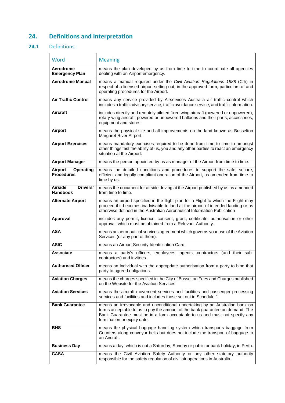## **24. Definitions and Interpretation**

## **24.1** Definitions

| Word                                             | <b>Meaning</b>                                                                                                                                                                                                                                                            |
|--------------------------------------------------|---------------------------------------------------------------------------------------------------------------------------------------------------------------------------------------------------------------------------------------------------------------------------|
| Aerodrome<br><b>Emergency Plan</b>               | means the plan developed by us from time to time to coordinate all agencies<br>dealing with an Airport emergency.                                                                                                                                                         |
| <b>Aerodrome Manual</b>                          | means a manual required under the Civil Aviation Regulations 1988 (Cth) in<br>respect of a licensed airport setting out, in the approved form, particulars of and<br>operating procedures for the Airport.                                                                |
| <b>Air Traffic Control</b>                       | means any service provided by Airservices Australia air traffic control which<br>includes a traffic advisory service, traffic avoidance service, and traffic information.                                                                                                 |
| <b>Aircraft</b>                                  | includes directly and remotely piloted fixed wing aircraft (powered or unpowered),<br>rotary-wing aircraft, powered or unpowered balloons and their parts, accessories,<br>equipment and stores.                                                                          |
| <b>Airport</b>                                   | means the physical site and all improvements on the land known as Busselton<br>Margaret River Airport.                                                                                                                                                                    |
| <b>Airport Exercises</b>                         | means mandatory exercises required to be done from time to time to amongst<br>other things test the ability of us, you and any other parties to react an emergency<br>situation at the Airport.                                                                           |
| <b>Airport Manager</b>                           | means the person appointed by us as manager of the Airport from time to time.                                                                                                                                                                                             |
| Airport<br><b>Operating</b><br><b>Procedures</b> | means the detailed conditions and procedures to support the safe, secure,<br>efficient and legally compliant operation of the Airport, as amended from time to<br>time by us.                                                                                             |
| <b>Airside</b><br>Drivers'<br><b>Handbook</b>    | means the document for airside driving at the Airport published by us as amended<br>from time to time.                                                                                                                                                                    |
| <b>Alternate Airport</b>                         | means an airport specified in the flight plan for a Flight to which the Flight may<br>proceed if it becomes inadvisable to land at the airport of intended landing or as<br>otherwise defined in the Australian Aeronautical Information Publication                      |
| Approval                                         | includes any permit, licence, consent, grant, certificate, authorisation or other<br>approval, which must be obtained from a Relevant Authority.                                                                                                                          |
| <b>ASA</b>                                       | means an aeronautical services agreement which governs your use of the Aviation<br>Services (or any part of them).                                                                                                                                                        |
| <b>ASIC</b>                                      | means an Airport Security Identification Card.                                                                                                                                                                                                                            |
| <b>Associate</b>                                 | means a party's officers, employees, agents, contractors (and their sub-<br>contractors) and invitees.                                                                                                                                                                    |
| <b>Authorised Officer</b>                        | means an individual with the appropriate authorisation from a party to bind that<br>party to agreed obligations.                                                                                                                                                          |
| <b>Aviation Charges</b>                          | means the charges specified in the City of Busselton Fees and Charges published<br>on the Website for the Aviation Services.                                                                                                                                              |
| <b>Aviation Services</b>                         | means the aircraft movement services and facilities and passenger processing<br>services and facilities and includes those set out in Schedule 1.                                                                                                                         |
| <b>Bank Guarantee</b>                            | means an irrevocable and unconditional undertaking by an Australian bank on<br>terms acceptable to us to pay the amount of the bank guarantee on demand. The<br>Bank Guarantee must be in a form acceptable to us and must not specify any<br>termination or expiry date. |
| <b>BHS</b>                                       | means the physical baggage handling system which transports baggage from<br>Counters along conveyor belts but does not include the transport of baggage to<br>an Aircraft.                                                                                                |
| <b>Business Day</b>                              | means a day, which is not a Saturday, Sunday or public or bank holiday, in Perth.                                                                                                                                                                                         |
| <b>CASA</b>                                      | means the Civil Aviation Safety Authority or any other statutory authority<br>responsible for the safety regulation of civil air operations in Australia.                                                                                                                 |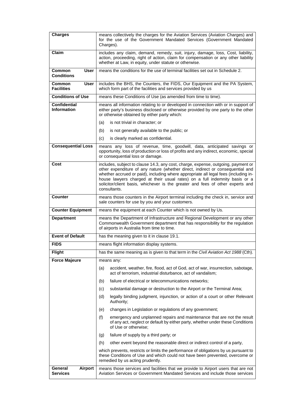| <b>Charges</b>                            | means collectively the charges for the Aviation Services (Aviation Charges) and<br>for the use of the Government Mandated Services (Government Mandated<br>Charges).                                                                                                                                                                                                                                                                       |
|-------------------------------------------|--------------------------------------------------------------------------------------------------------------------------------------------------------------------------------------------------------------------------------------------------------------------------------------------------------------------------------------------------------------------------------------------------------------------------------------------|
| <b>Claim</b>                              | includes any claim, demand, remedy, suit, injury, damage, loss, Cost, liability,<br>action, proceeding, right of action, claim for compensation or any other liability<br>whether at Law, in equity, under statute or otherwise.                                                                                                                                                                                                           |
| Common<br>User<br><b>Conditions</b>       | means the conditions for the use of terminal facilities set out in Schedule 2.                                                                                                                                                                                                                                                                                                                                                             |
| Common<br>User<br><b>Facilities</b>       | includes the BHS, the Counters, the FIDS, Our Equipment and the PA System,<br>which form part of the facilities and services provided by us                                                                                                                                                                                                                                                                                                |
| <b>Conditions of Use</b>                  | means these Conditions of Use (as amended from time to time).                                                                                                                                                                                                                                                                                                                                                                              |
| <b>Confidential</b><br><b>Information</b> | means all information relating to or developed in connection with or in support of<br>either party's business disclosed or otherwise provided by one party to the other<br>or otherwise obtained by either party which:                                                                                                                                                                                                                    |
|                                           | (a)<br>is not trivial in character; or                                                                                                                                                                                                                                                                                                                                                                                                     |
|                                           | is not generally available to the public; or<br>(b)                                                                                                                                                                                                                                                                                                                                                                                        |
|                                           | (c)<br>is clearly marked as confidential.                                                                                                                                                                                                                                                                                                                                                                                                  |
| <b>Consequential Loss</b>                 | means any loss of revenue, time, goodwill, data, anticipated savings or<br>opportunity, loss of production or loss of profits and any indirect, economic, special<br>or consequential loss or damage.                                                                                                                                                                                                                                      |
| Cost                                      | includes, subject to clause 14.3, any cost, charge, expense, outgoing, payment or<br>other expenditure of any nature (whether direct, indirect or consequential and<br>whether accrued or paid), including where appropriate all legal fees (including in-<br>house lawyers charged at their usual rates) on a full indemnity basis or a<br>solicitor/client basis, whichever is the greater and fees of other experts and<br>consultants. |
| Counter                                   | means those counters in the Airport terminal including the check in, service and<br>sale counters for use by you and your customers.                                                                                                                                                                                                                                                                                                       |
| <b>Counter Equipment</b>                  | means the equipment at each Counter which is not owned by Us.                                                                                                                                                                                                                                                                                                                                                                              |
| <b>Department</b>                         | means the Department of Infrastructure and Regional Development or any other<br>Commonwealth Government department that has responsibility for the regulation<br>of airports in Australia from time to time.                                                                                                                                                                                                                               |
| <b>Event of Default</b>                   | has the meaning given to it in clause 19.1.                                                                                                                                                                                                                                                                                                                                                                                                |
| <b>FIDS</b>                               | means flight information display systems.                                                                                                                                                                                                                                                                                                                                                                                                  |
| <b>Flight</b>                             | has the same meaning as is given to that term in the Civil Aviation Act 1988 (Cth).                                                                                                                                                                                                                                                                                                                                                        |
| <b>Force Majeure</b>                      | means any:                                                                                                                                                                                                                                                                                                                                                                                                                                 |
|                                           | accident, weather, fire, flood, act of God, act of war, insurrection, sabotage,<br>(a)<br>act of terrorism, industrial disturbance, act of vandalism;                                                                                                                                                                                                                                                                                      |
|                                           | failure of electrical or telecommunications networks;<br>(b)                                                                                                                                                                                                                                                                                                                                                                               |
|                                           | substantial damage or destruction to the Airport or the Terminal Area;<br>(c)                                                                                                                                                                                                                                                                                                                                                              |
|                                           | (d)<br>legally binding judgment, injunction, or action of a court or other Relevant<br>Authority;                                                                                                                                                                                                                                                                                                                                          |
|                                           | changes in Legislation or regulations of any government;<br>(e)                                                                                                                                                                                                                                                                                                                                                                            |
|                                           | (f)<br>emergency and unplanned repairs and maintenance that are not the result<br>of any act, neglect or default by either party, whether under these Conditions<br>of Use or otherwise;                                                                                                                                                                                                                                                   |
|                                           | failure of supply by a third party; or<br>(g)                                                                                                                                                                                                                                                                                                                                                                                              |
|                                           | other event beyond the reasonable direct or indirect control of a party,<br>(h)                                                                                                                                                                                                                                                                                                                                                            |
|                                           | which prevents, restricts or limits the performance of obligations by us pursuant to<br>these Conditions of Use and which could not have been prevented, overcome or<br>remedied by us acting prudently.                                                                                                                                                                                                                                   |
| General<br>Airport<br><b>Services</b>     | means those services and facilities that we provide to Airport users that are not<br>Aviation Services or Government Mandated Services and include those services                                                                                                                                                                                                                                                                          |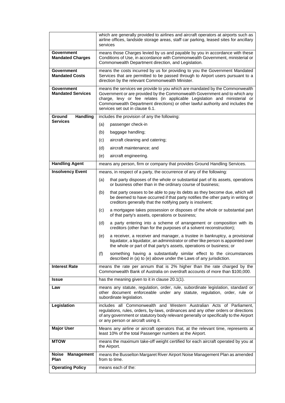|                                               | which are generally provided to airlines and aircraft operators at airports such as<br>airline offices, landside storage areas, staff car parking, leased sites for ancillary<br>services                                                                                                                                                                   |
|-----------------------------------------------|-------------------------------------------------------------------------------------------------------------------------------------------------------------------------------------------------------------------------------------------------------------------------------------------------------------------------------------------------------------|
| Government<br><b>Mandated Charges</b>         | means those Charges levied by us and payable by you in accordance with these<br>Conditions of Use, in accordance with Commonwealth Government, ministerial or<br>Commonwealth Department direction, and Legislation.                                                                                                                                        |
| Government<br><b>Mandated Costs</b>           | means the costs incurred by us for providing to you the Government Mandated<br>Services that are permitted to be passed through to Airport users pursuant to a<br>direction by the relevant Commonwealth Minister.                                                                                                                                          |
| <b>Government</b><br><b>Mandated Services</b> | means the services we provide to you which are mandated by the Commonwealth<br>Government or are provided by the Commonwealth Government and to which any<br>charge, levy or fee relates (in applicable Legislation and ministerial or<br>Commonwealth Department directions) or other lawful authority and includes the<br>services set out in clause 6.1. |
| Handling<br>Ground                            | includes the provision of any the following:                                                                                                                                                                                                                                                                                                                |
| <b>Services</b>                               | (a)<br>passenger check-in                                                                                                                                                                                                                                                                                                                                   |
|                                               | (b)<br>baggage handling;                                                                                                                                                                                                                                                                                                                                    |
|                                               | (c)<br>aircraft cleaning and catering;                                                                                                                                                                                                                                                                                                                      |
|                                               | (d)<br>aircraft maintenance; and                                                                                                                                                                                                                                                                                                                            |
|                                               | (e)<br>aircraft engineering.                                                                                                                                                                                                                                                                                                                                |
| <b>Handling Agent</b>                         | means any person, firm or company that provides Ground Handling Services.                                                                                                                                                                                                                                                                                   |
| <b>Insolvency Event</b>                       | means, in respect of a party, the occurrence of any of the following:                                                                                                                                                                                                                                                                                       |
|                                               | that party disposes of the whole or substantial part of its assets, operations<br>(a)<br>or business other than in the ordinary course of business;                                                                                                                                                                                                         |
|                                               | that party ceases to be able to pay its debts as they become due, which will<br>(b)<br>be deemed to have occurred if that party notifies the other party in writing or<br>creditors generally that the notifying party is insolvent;                                                                                                                        |
|                                               | (c)<br>a mortgagee takes possession or disposes of the whole or substantial part<br>of that party's assets, operations or business;                                                                                                                                                                                                                         |
|                                               | (d)<br>a party entering into a scheme of arrangement or composition with its<br>creditors (other than for the purposes of a solvent reconstruction);                                                                                                                                                                                                        |
|                                               | (e)<br>a receiver, a receiver and manager, a trustee in bankruptcy, a provisional<br>liquidator, a liquidator, an administrator or other like person is appointed over<br>the whole or part of that party's assets, operations or business; or                                                                                                              |
|                                               | something having a substantially similar effect to the circumstances<br>(f)<br>described in (a) to (e) above under the Laws of any jurisdiction.                                                                                                                                                                                                            |
| <b>Interest Rate</b>                          | means the rate per annum that is 2% higher than the rate charged by the<br>Commonwealth Bank of Australia on overdraft accounts of more than \$100,000.                                                                                                                                                                                                     |
| <b>Issue</b>                                  | has the meaning given to it in clause 20.1(1).                                                                                                                                                                                                                                                                                                              |
| Law                                           | means any statute, regulation, order, rule, subordinate legislation, standard or<br>other document enforceable under any statute, regulation, order, rule or<br>subordinate legislation.                                                                                                                                                                    |
| Legislation                                   | includes all Commonwealth and Western Australian Acts of Parliament,<br>regulations, rules, orders, by-laws, ordinances and any other orders or directions<br>of any government or statutory body relevant generally or specifically to the Airport<br>or any person or aircraft using it.                                                                  |
| <b>Major User</b>                             | Means any airline or aircraft operators that, at the relevant time, represents at<br>least 10% of the total Passenger numbers at the Airport.                                                                                                                                                                                                               |
| <b>MTOW</b>                                   | means the maximum take-off weight certified for each aircraft operated by you at<br>the Airport.                                                                                                                                                                                                                                                            |
| Noise<br><b>Management</b><br>Plan            | means the Busselton Margaret River Airport Noise Management Plan as amended<br>from to time.                                                                                                                                                                                                                                                                |
| <b>Operating Policy</b>                       | means each of the:                                                                                                                                                                                                                                                                                                                                          |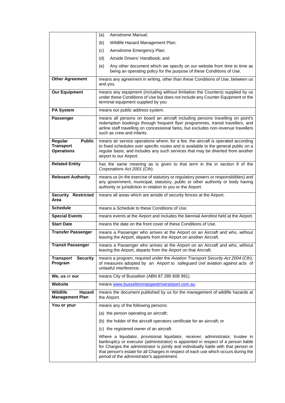|                                                                   | Aerodrome Manual;<br>(a)                                                                                                                                                                                                                                                                                                                                                                          |
|-------------------------------------------------------------------|---------------------------------------------------------------------------------------------------------------------------------------------------------------------------------------------------------------------------------------------------------------------------------------------------------------------------------------------------------------------------------------------------|
|                                                                   | Wildlife Hazard Management Plan;<br>(b)                                                                                                                                                                                                                                                                                                                                                           |
|                                                                   | Aerodrome Emergency Plan;<br>(c)                                                                                                                                                                                                                                                                                                                                                                  |
|                                                                   | (d)<br>Airside Drivers' Handbook; and                                                                                                                                                                                                                                                                                                                                                             |
|                                                                   | Any other document which we specify on our website from time to time as<br>(e)<br>being an operating policy for the purpose of these Conditions of Use.                                                                                                                                                                                                                                           |
| <b>Other Agreement</b>                                            | means any agreement in writing, other than these Conditions of Use, between us<br>and you.                                                                                                                                                                                                                                                                                                        |
| <b>Our Equipment</b>                                              | means any equipment (including without limitation the Counters) supplied by us<br>under these Conditions of Use but does not include any Counter Equipment or the<br>terminal equipment supplied by you                                                                                                                                                                                           |
| <b>PA System</b>                                                  | means our public address system.                                                                                                                                                                                                                                                                                                                                                                  |
| <b>Passenger</b>                                                  | means all persons on board an aircraft including persons travelling on point's<br>redemption bookings through frequent flyer programmes, transit travellers, and<br>airline staff travelling on concessional fares, but excludes non-revenue travellers<br>such as crew and infants.                                                                                                              |
| <b>Public</b><br>Regular<br><b>Transport</b><br><b>Operations</b> | means air service operations where, for a fee, the aircraft is operated according<br>to fixed schedules over specific routes and is available to the general public on a<br>regular basis, and includes any such services that may be diverted from another<br>airport to our Airport.                                                                                                            |
| <b>Related Entity</b>                                             | has the same meaning as is given to that term in the in section 9 of the<br>Corporations Act 2001 (Cth).                                                                                                                                                                                                                                                                                          |
| <b>Relevant Authority</b>                                         | means us (in the exercise of statutory or regulatory powers or responsibilities) and<br>any government, municipal, statutory, public or other authority or body having<br>authority or jurisdiction in relation to you or the Airport.                                                                                                                                                            |
| <b>Security Restricted</b><br>Area                                | means all areas which are airside of security fences at the Airport.                                                                                                                                                                                                                                                                                                                              |
| <b>Schedule</b>                                                   | means a Schedule to these Conditions of Use.                                                                                                                                                                                                                                                                                                                                                      |
| <b>Special Events</b>                                             | means events at the Airport and Includes the biennial Aerofest held at the Airport.                                                                                                                                                                                                                                                                                                               |
| <b>Start Date</b>                                                 | means the date on the front cover of these Conditions of Use.                                                                                                                                                                                                                                                                                                                                     |
| <b>Transfer Passenger</b>                                         | means a Passenger who arrives at the Airport on an Aircraft and who, without<br>leaving the Airport, departs from the Airport on another Aircraft.                                                                                                                                                                                                                                                |
| <b>Transit Passenger</b>                                          | means a Passenger who arrives at the Airport on an Aircraft and who, without<br>leaving the Airport, departs from the Airport on that Aircraft.                                                                                                                                                                                                                                                   |
| Security<br><b>Transport</b><br>Program                           | means a program, required under the Aviation Transport Security Act 2004 (Cth),<br>of measures adopted by an Airport to safeguard civil aviation against acts of<br>unlawful interference.                                                                                                                                                                                                        |
| We, us or our                                                     | means City of Busselton (ABN 87 285 608 991).                                                                                                                                                                                                                                                                                                                                                     |
| Website                                                           | means www.busseltonmargaretriverairport.com.au                                                                                                                                                                                                                                                                                                                                                    |
| <b>Wildlife</b><br>Hazard<br><b>Management Plan</b>               | means the document published by us for the management of wildlife hazards at<br>the Airport.                                                                                                                                                                                                                                                                                                      |
| You or your                                                       | means any of the following persons:                                                                                                                                                                                                                                                                                                                                                               |
|                                                                   | (a) the person operating an aircraft;                                                                                                                                                                                                                                                                                                                                                             |
|                                                                   | (b) the holder of the aircraft operators certificate for an aircraft; or                                                                                                                                                                                                                                                                                                                          |
|                                                                   | (c) the registered owner of an aircraft.                                                                                                                                                                                                                                                                                                                                                          |
|                                                                   | Where a liquidator, provisional liquidator, receiver, administrator, trustee in<br>bankruptcy or executor (administrator) is appointed in respect of a person liable<br>for Charges the administrator is jointly and individually liable with that person or<br>that person's estate for all Charges in respect of each use which occurs during the<br>period of the administrator's appointment. |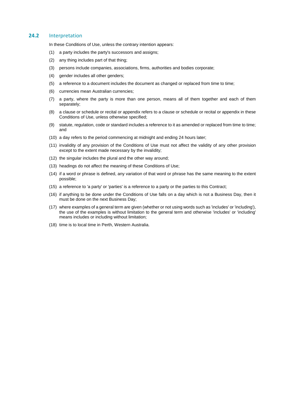#### **24.2** Interpretation

In these Conditions of Use, unless the contrary intention appears:

- (1) a party includes the party's successors and assigns;
- (2) any thing includes part of that thing;
- (3) persons include companies, associations, firms, authorities and bodies corporate;
- (4) gender includes all other genders;
- (5) a reference to a document includes the document as changed or replaced from time to time;
- (6) currencies mean Australian currencies;
- (7) a party, where the party is more than one person, means all of them together and each of them separately;
- (8) a clause or schedule or recital or appendix refers to a clause or schedule or recital or appendix in these Conditions of Use, unless otherwise specified;
- (9) statute, regulation, code or standard includes a reference to it as amended or replaced from time to time; and
- (10) a day refers to the period commencing at midnight and ending 24 hours later;
- (11) invalidity of any provision of the Conditions of Use must not affect the validity of any other provision except to the extent made necessary by the invalidity;
- (12) the singular includes the plural and the other way around;
- (13) headings do not affect the meaning of these Conditions of Use;
- (14) if a word or phrase is defined, any variation of that word or phrase has the same meaning to the extent possible;
- (15) a reference to 'a party' or 'parties' is a reference to a party or the parties to this Contract;
- (16) if anything to be done under the Conditions of Use falls on a day which is not a Business Day, then it must be done on the next Business Day;
- (17) where examples of a general term are given (whether or not using words such as 'includes' or 'including'), the use of the examples is without limitation to the general term and otherwise 'includes' or 'including' means includes or including without limitation;
- (18) time is to local time in Perth, Western Australia.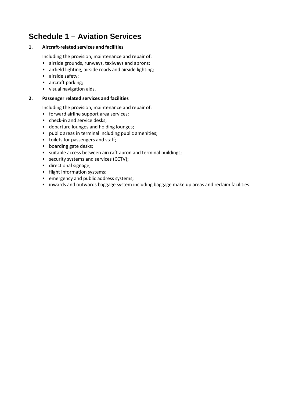## **Schedule 1 – Aviation Services**

## **1. Aircraft-related services and facilities**

Including the provision, maintenance and repair of:

- airside grounds, runways, taxiways and aprons;
- airfield lighting, airside roads and airside lighting;
- airside safety;
- aircraft parking;
- visual navigation aids.

## **2. Passenger related services and facilities**

Including the provision, maintenance and repair of:

- forward airline support area services;
- check-in and service desks;
- departure lounges and holding lounges;
- public areas in terminal including public amenities;
- toilets for passengers and staff;
- boarding gate desks;
- suitable access between aircraft apron and terminal buildings;
- security systems and services (CCTV);
- directional signage;
- flight information systems;
- emergency and public address systems;
- inwards and outwards baggage system including baggage make up areas and reclaim facilities.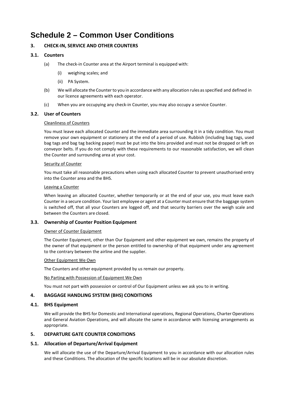## **Schedule 2 – Common User Conditions**

## **3. CHECK-IN, SERVICE AND OTHER COUNTERS**

## **3.1. Counters**

- (a) The check-in Counter area at the Airport terminal is equipped with:
	- (i) weighing scales; and
	- (ii) PA System.
- (b) We will allocate the Counter to you in accordance with any allocation rules as specified and defined in our licence agreements with each operator.
- (c) When you are occupying any check-in Counter, you may also occupy a service Counter.

## **3.2. User of Counters**

#### Cleanliness of Counters

You must leave each allocated Counter and the immediate area surrounding it in a tidy condition. You must remove your own equipment or stationery at the end of a period of use. Rubbish (including bag tags, used bag tags and bag tag backing paper) must be put into the bins provided and must not be dropped or left on conveyor belts. If you do not comply with these requirements to our reasonable satisfaction, we will clean the Counter and surrounding area at your cost.

#### Security of Counter

You must take all reasonable precautions when using each allocated Counter to prevent unauthorised entry into the Counter area and the BHS.

#### Leaving a Counter

When leaving an allocated Counter, whether temporarily or at the end of your use, you must leave each Counter in a secure condition. Your last employee or agent at a Counter must ensure that the baggage system is switched off, that all your Counters are logged off, and that security barriers over the weigh scale and between the Counters are closed.

## **3.3. Ownership of Counter Position Equipment**

#### Owner of Counter Equipment

The Counter Equipment, other than Our Equipment and other equipment we own, remains the property of the owner of that equipment or the person entitled to ownership of that equipment under any agreement to the contrary between the airline and the supplier.

#### Other Equipment We Own

The Counters and other equipment provided by us remain our property.

No Parting with Possession of Equipment We Own

You must not part with possession or control of Our Equipment unless we ask you to in writing.

## **4. BAGGAGE HANDLING SYSTEM (BHS) CONDITIONS**

## **4.1. BHS Equipment**

We will provide the BHS for Domestic and International operations, Regional Operations, Charter Operations and General Aviation Operations, and will allocate the same in accordance with licensing arrangements as appropriate.

## **5. DEPARTURE GATE COUNTER CONDITIONS**

## **5.1. Allocation of Departure/Arrival Equipment**

We will allocate the use of the Departure/Arrival Equipment to you in accordance with our allocation rules and these Conditions. The allocation of the specific locations will be in our absolute discretion.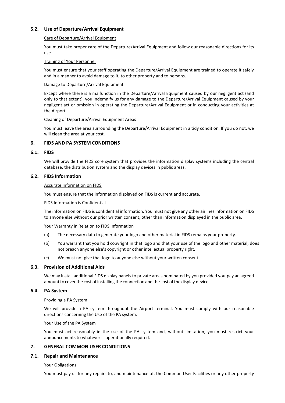## **5.2. Use of Departure/Arrival Equipment**

#### Care of Departure/Arrival Equipment

You must take proper care of the Departure/Arrival Equipment and follow our reasonable directions for its use.

#### Training of Your Personnel

You must ensure that your staff operating the Departure/Arrival Equipment are trained to operate it safely and in a manner to avoid damage to it, to other property and to persons.

#### Damage to Departure/Arrival Equipment

Except where there is a malfunction in the Departure/Arrival Equipment caused by our negligent act (and only to that extent), you indemnify us for any damage to the Departure/Arrival Equipment caused by your negligent act or omission in operating the Departure/Arrival Equipment or in conducting your activities at the Airport.

#### Cleaning of Departure/Arrival Equipment Areas

You must leave the area surrounding the Departure/Arrival Equipment in a tidy condition. If you do not, we will clean the area at your cost.

#### **6. FIDS AND PA SYSTEM CONDITIONS**

#### **6.1. FIDS**

We will provide the FIDS core system that provides the information display systems including the central database, the distribution system and the display devices in public areas.

#### **6.2. FIDS Information**

#### Accurate Information on FIDS

You must ensure that the information displayed on FIDS is current and accurate.

#### FIDS Information is Confidential

The information on FIDS is confidential information. You must not give any other airlines information on FIDS to anyone else without our prior written consent, other than information displayed in the public area.

#### Your Warranty in Relation to FIDS Information

- (a) The necessary data to generate your logo and other material in FIDS remains your property.
- (b) You warrant that you hold copyright in that logo and that your use of the logo and other material, does not breach anyone else's copyright or other intellectual property right.
- (c) We must not give that logo to anyone else without your written consent.

#### **6.3. Provision of Additional Aids**

We may install additional FIDS display panels to private areas nominated by you provided you pay an agreed amount to cover the cost of installing the connection and the cost of the display devices.

#### **6.4. PA System**

#### Providing a PA System

We will provide a PA system throughout the Airport terminal. You must comply with our reasonable directions concerning the Use of the PA system.

#### Your Use of the PA System

You must act reasonably in the use of the PA system and, without limitation, you must restrict your announcements to whatever is operationally required.

#### **7. GENERAL COMMON USER CONDITIONS**

#### **7.1. Repair and Maintenance**

#### Your Obligations

You must pay us for any repairs to, and maintenance of, the Common User Facilities or any other property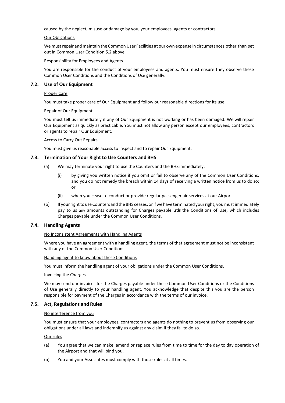caused by the neglect, misuse or damage by you, your employees, agents or contractors.

#### Our Obligations

We mustrepair and maintain the Common User Facilities at our own expense in circumstances other than set out in Common User Condition 5.2 above.

#### Responsibility for Employees and Agents

You are responsible for the conduct of your employees and agents. You must ensure they observe these Common User Conditions and the Conditions of Use generally.

#### **7.2. Use of Our Equipment**

#### Proper Care

You must take proper care of Our Equipment and follow our reasonable directions for its use.

#### Repair of Our Equipment

You must tell us immediately if any of Our Equipment is not working or has been damaged. We will repair Our Equipment as quickly as practicable. You must not allow any person except our employees, contractors or agents to repair Our Equipment.

#### Access to Carry Out Repairs

You must give us reasonable access to inspect and to repair Our Equipment.

#### **7.3. Termination of Your Right to Use Counters and BHS**

- (a) We may terminate your right to use the Counters and the BHS immediately:
	- (i) by giving you written notice if you omit or fail to observe any of the Common User Conditions, and you do not remedy the breach within 14 days of receiving a written notice from us to do so; or
	- (ii) when you cease to conduct or provide regular passenger air services at our Airport.
- (b) If your right to use Counters and the BHS ceases, or if we have terminated your right, you must immediately pay to us any amounts outstanding for Charges payable under the Conditions of Use, which includes Charges payable under the Common User Conditions.

#### **7.4. Handling Agents**

#### No Inconsistent Agreements with Handling Agents

Where you have an agreement with a handling agent, the terms of that agreement must not be inconsistent with any of the Common User Conditions.

#### Handling agent to know about these Conditions

You must inform the handling agent of your obligations under the Common User Conditions.

#### Invoicing the Charges

We may send our invoices for the Charges payable under these Common User Conditions or the Conditions of Use generally directly to your handling agent. You acknowledge that despite this you are the person responsible for payment of the Charges in accordance with the terms of our invoice.

#### **7.5. Act, Regulations and Rules**

#### No interference from you

You must ensure that your employees, contractors and agents do nothing to prevent us from observing our obligations under all laws and indemnify us against any claim if they fail to do so.

#### Our rules

- (a) You agree that we can make, amend or replace rules from time to time for the day to day operation of the Airport and that will bind you.
- (b) You and your Associates must comply with those rules at all times.